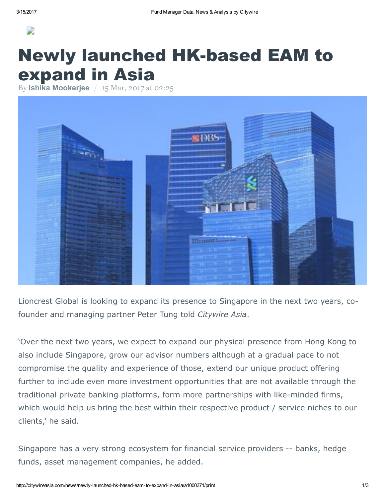

## **Newly launched HK-based EAM to** expand in Asia

By Ishika [Mookerjee](http://citywireasia.com/author/imookerje) / 15 Mar, 2017 at 02:25



Lioncrest Global is looking to expand its presence to Singapore in the next two years, cofounder and managing partner Peter Tung told Citywire Asia.

'Over the next two years, we expect to expand our physical presence from Hong Kong to also include Singapore, grow our advisor numbers although at a gradual pace to not compromise the quality and experience of those, extend our unique product offering further to include even more investment opportunities that are not available through the traditional private banking platforms, form more partnerships with like-minded firms, which would help us bring the best within their respective product / service niches to our clients,' he said.

Singapore has a very strong ecosystem for financial service providers -- banks, hedge funds, asset management companies, he added.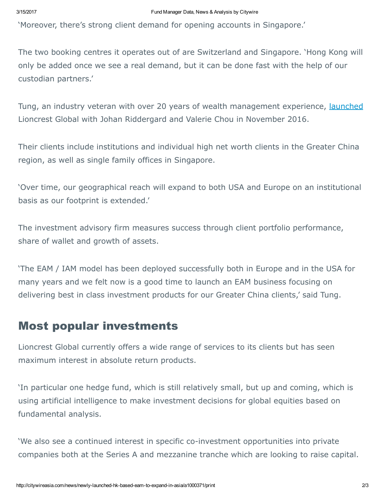'Moreover, there's strong client demand for opening accounts in Singapore.'

The two booking centres it operates out of are Switzerland and Singapore. 'Hong Kong will only be added once we see a real demand, but it can be done fast with the help of our custodian partners.'

Tung, an industry veteran with over 20 years of wealth management experience, [launched](http://citywireasia.com/news/ex-ubs-greater-china-uhnwi-head-launches-advisory-firm/a967745?linkSource=article-body) Lioncrest Global with Johan Riddergard and Valerie Chou in November 2016.

Their clients include institutions and individual high net worth clients in the Greater China region, as well as single family offices in Singapore.

'Over time, our geographical reach will expand to both USA and Europe on an institutional basis as our footprint is extended.'

The investment advisory firm measures success through client portfolio performance, share of wallet and growth of assets.

'The EAM / IAM model has been deployed successfully both in Europe and in the USA for many years and we felt now is a good time to launch an EAM business focusing on delivering best in class investment products for our Greater China clients,' said Tung.

## Most popular investments

Lioncrest Global currently offers a wide range of services to its clients but has seen maximum interest in absolute return products.

'In particular one hedge fund, which is still relatively small, but up and coming, which is using artificial intelligence to make investment decisions for global equities based on fundamental analysis.

'We also see a continued interest in specific co-investment opportunities into private companies both at the Series A and mezzanine tranche which are looking to raise capital.